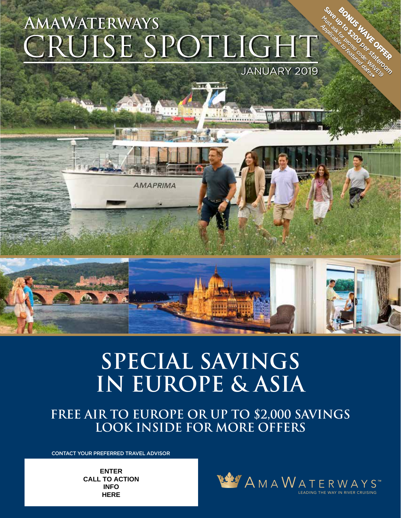# CRUISE SPOTLIGHT **AMAWATERWAYS SAVALLE AND THE CONSTRUCT OF THE SERVICE OF THE SERVICE CONSTRUCT OF THE SERVICE OF THE SERVICE OF THE SERVICE OF THE SERVICE OF THE SERVICE OF THE SERVICE OF THE SERVICE OF THE SERVICE OF THE SERVICE OF TH**

**AMAPRIMA** 

JANUARY 2019

BONUS UTCH

**Must a by Must a HAVEN CONFIDENCE** 



# **SPECIAL SAVINGS IN EUROPE & ASIA**

**FREE AIR TO EUROPE OR UP TO \$2,000 SAVINGS LOOK INSIDE FOR MORE OFFERS**

CONTACT YOUR PREFERRED TRAVEL ADVISOR

**ENTER CALL TO ACTION INFO HERE**

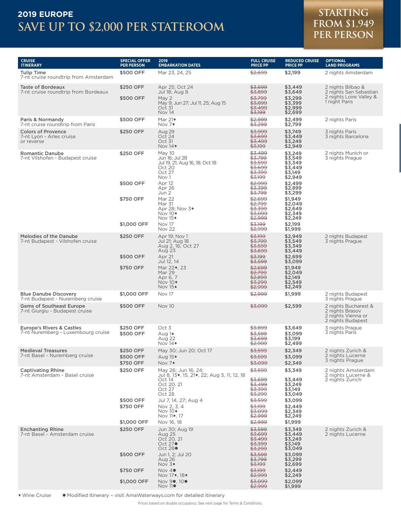## **SAVE UP TO \$2,000 PER STATEROOM 2019 EUROPE STARTING**

# **FROM \$1,949 PER PERSON**

| <b>CRUISE</b><br><b>ITINERARY</b>                                          | <b>SPECIAL OFFER</b><br><b>PER PERSON</b>          | 2019<br><b>EMBARKATION DATES</b>                                                                                                                                                                              | <b>FULL CRUISE</b><br><b>PRICE PP</b>                                                                                                                                                                                    | <b>REDUCED CRUISE</b><br><b>PRICE PP</b>                                                                                                                          | <b>OPTIONAL</b><br><b>LAND PROGRAMS</b>                                                 |
|----------------------------------------------------------------------------|----------------------------------------------------|---------------------------------------------------------------------------------------------------------------------------------------------------------------------------------------------------------------|--------------------------------------------------------------------------------------------------------------------------------------------------------------------------------------------------------------------------|-------------------------------------------------------------------------------------------------------------------------------------------------------------------|-----------------------------------------------------------------------------------------|
| <b>Tulip Time</b><br>7-nt cruise roundtrip from Amsterdam                  | \$500 OFF                                          | Mar 23, 24, 25                                                                                                                                                                                                | \$2,699                                                                                                                                                                                                                  | \$2,199                                                                                                                                                           | 2 nights Amsterdam                                                                      |
| Taste of Bordeaux<br>7-nt cruise roundtrip from Bordeaux                   | \$250 OFF<br>\$500 OFF                             | Apr 25; Oct 24<br>Jul 18; Aug 8<br>May 2<br>May 9; Jun 27; Jul 11, 25; Aug 15<br>Oct 31<br>Nov 14                                                                                                             | \$3,699<br>\$3,899<br>\$3,799<br><del>\$3,899</del><br>\$3,499<br>\$3,199                                                                                                                                                | \$3,449<br>\$3,649<br>\$3,299<br>\$3,399<br>\$2,999<br>\$2,699                                                                                                    | 2 nights Bilbao &<br>2 nights San Sebastian<br>2 nights Loire Valley &<br>1 night Paris |
| Paris & Normandy<br>7-nt cruise roundtrip from Paris                       | \$500 OFF                                          | Mar $21\bullet$<br>Nov 7 <sup>*</sup>                                                                                                                                                                         | \$2.999<br>\$3,299                                                                                                                                                                                                       | \$2,499<br>\$2,799                                                                                                                                                | 2 nights Paris                                                                          |
| <b>Colors of Provence</b><br>7-nt Lyon - Arles cruise<br>or reverse        | \$250 OFF                                          | Aug 29<br>Oct 24<br>Oct 31<br>Nov $14*$                                                                                                                                                                       | \$3,999<br>\$3,699<br>\$3,499<br>\$3,199                                                                                                                                                                                 | \$3,749<br>\$3,449<br>\$3,249<br>\$2,949                                                                                                                          | 3 nights Paris<br>3 nights Barcelona                                                    |
| <b>Romantic Danube</b><br>7-nt Vilshofen - Budapest cruise                 | \$250 OFF<br>\$500 OFF<br>\$750 OFF<br>\$1,000 OFF | May 10<br>Jun 16; Jul 28<br>Jul 19, 21; Aug 16, 18; Oct 18<br>Oct 20<br>Oct 27<br>Nov 1<br>Apr 12<br>Apr 26<br>Jun 2<br><b>Mar 22</b><br>Mar 31<br>Apr 28; Nov 3 <sup>+</sup><br>Nov 10+<br>Nov 15+<br>Nov 17 | <del>\$3,499</del><br><del>\$3,799</del><br><del>\$3,599</del><br>\$3,699<br>\$3,399<br>\$3,199<br>\$2,999<br>\$3,399<br>\$3,799<br>\$2,699<br>\$2,799<br><del>\$3,399</del><br><del>\$3,099</del><br>\$2,999<br>\$3,199 | \$3,249<br>\$3,549<br>\$3,349<br>\$3,449<br>\$3,149<br>\$2,949<br>\$2,499<br>\$2,899<br>\$3,299<br>\$1.949<br>\$2,049<br>\$2,649<br>\$2,349<br>\$2,249<br>\$2,199 | 2 nights Munich or<br>3 nights Prague                                                   |
| <b>Melodies of the Danube</b><br>7-nt Budapest - Vilshofen cruise          | \$250 OFF<br>\$500 OFF<br>\$750 OFF                | <b>Nov 22</b><br>Apr 19; Nov 1<br>Jul 21; Aug 18<br>Aug 2, 16; Oct 27<br>Aug 23<br>Apr 21<br>Jul 12, 14<br>Mar 22 <sup>+</sup> , 23<br>Mar 29<br>Apr 6, 7<br>Nov 10+<br>Nov 15 <sup>*</sup>                   | \$2,999<br>\$3,199<br>\$3.799<br><del>\$3,599</del><br>\$3,699<br>\$3,199<br>\$3,599<br>\$2,699<br>\$2,799<br>\$2,899<br>\$3,299<br>\$2,999                                                                              | \$1,999<br>\$2,949<br>\$3,549<br>\$3,349<br>\$3,449<br>\$2,699<br>\$3,099<br>\$1.949<br>\$2,049<br>\$2,149<br>\$2,549<br>\$2,249                                  | 2 nights Budapest<br>3 nights Prague                                                    |
| <b>Blue Danube Discovery</b><br>7-nt Budapest - Nuremberg cruise           | \$1,000 OFF                                        | Nov 17                                                                                                                                                                                                        | \$2,999                                                                                                                                                                                                                  | \$1,999                                                                                                                                                           | 2 nights Budapest<br>3 nights Prague                                                    |
| <b>Gems of Southeast Europe</b><br>7-nt Giurgiu - Budapest cruise          | \$500 OFF                                          | <b>Nov 10</b>                                                                                                                                                                                                 | \$3,099                                                                                                                                                                                                                  | \$2,599                                                                                                                                                           | 2 nights Bucharest &<br>2 nights Brasov<br>2 nights Vienna or<br>2 nights Budapest      |
| <b>Europe's Rivers &amp; Castles</b><br>7-nt Nuremberg - Luxembourg cruise | \$250 OFF<br>\$500 OFF                             | Oct 3<br>Aug 1 <sup>+</sup><br>Aug 22<br>Nov $14$ <sup>*</sup>                                                                                                                                                | \$3,899<br>\$3,599<br><del>\$3,699</del><br>\$2,999                                                                                                                                                                      | \$3,649<br>\$3.099<br>\$3,199<br>\$2,499                                                                                                                          | 3 nights Prague<br>3 nights Paris                                                       |
| <b>Medieval Treasures</b><br>7-nt Basel - Nuremberg cruise                 | \$250 OFF<br>\$500 OFF<br>\$750 OFF                | May 30; Jun 20; Oct 17<br>Aug $15*$<br>Nov 7+                                                                                                                                                                 | <del>\$3,599</del><br>\$3,599<br>\$3,099                                                                                                                                                                                 | \$2,349<br>\$3,099<br>\$2,349                                                                                                                                     | 2 nights Zurich &<br>2 nights Lucerne<br>3 nights Prague                                |
| <b>Captivating Rhine</b><br>7-nt Amsterdam - Basel cruise                  | \$250 OFF<br>\$500 OFF<br>\$750 OFF<br>\$1,000 OFF | May 26; Jun 16, 24;<br>Jul 8, 13•, 15, 21•, 22; Aug 5, 11, 12, 18<br>Oct 14<br>Oct 20, 21<br>Oct 27<br>Oct 28<br>Jul 7, 14, 27; Aug 4<br>Nov 2, 3, 4<br>Nov $10*$<br>Nov 11 <sup>*</sup> , 17<br>Nov 16, 18   | \$3,599<br>\$3,699<br>\$3,499<br>\$3,399<br>\$3,299<br>\$3,599<br>\$3,199<br>\$3,099<br><del>\$2,999</del><br>\$2,999                                                                                                    | \$3,349<br>\$3,449<br>\$3,249<br>\$3,149<br>\$3,049<br>\$3,099<br>\$2,449<br>\$2,349<br>\$2,249<br>\$1,999                                                        | 2 nights Amsterdam<br>2 nights Lucerne &<br>2 nights Zurich                             |
| <b>Enchanting Rhine</b><br>7-nt Basel - Amsterdam cruise                   | \$250 OFF<br>\$500 OFF<br>\$750 OFF<br>\$1,000 OFF | Jun 30; Aug 19<br>Aug 25<br>Oct 20, 21<br>Oct 27●<br>Oct 28 <sup>o</sup><br>Jun 1, 2; Jul 20<br>Aug 26<br>Nov $3*$<br>Nov 4 $\bullet$<br>Nov 17 <sup>+</sup> , 18 <sup>+</sup><br>Nov 90, 100<br>Nov 11●      | \$3,599<br>\$3,699<br>\$3,499<br>\$3,399<br>\$3,299<br>\$3,599<br>\$3,799<br><del>\$3,199</del><br>\$3,199<br><del>\$2,999</del><br>\$3,099<br>\$2,999                                                                   | \$3,349<br>\$3,449<br>\$3,249<br>\$3,149<br>\$3,049<br>\$3,099<br>\$3,299<br>\$2,699<br>\$2,449<br>\$2,249<br>\$2,099<br>\$1,999                                  | 2 nights Zurich &<br>2 nights Lucerne                                                   |

• Wine Cruise • Modified Itinerary - visit AmaWaterways.com for detailed itinerary

Prices based on double occupancy. See next page for Terms & Conditions.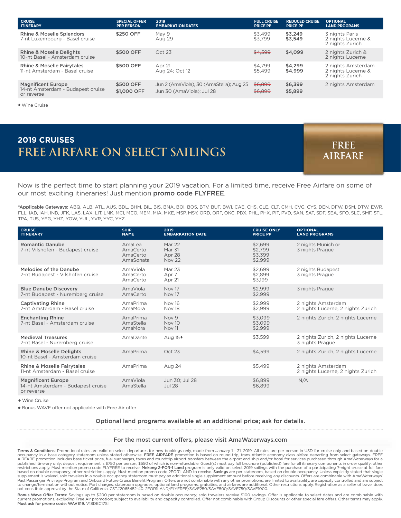| <b>CRUISE</b><br><b>ITINERARY</b>                                            | <b>SPECIAL OFFER</b><br><b>PER PERSON</b> | 2019<br><b>EMBARKATION DATES</b>                                      | <b>FULL CRUISE</b><br><b>PRICE PP</b> | <b>REDUCED CRUISE</b><br><b>PRICE PP</b> | <b>OPTIONAL</b><br><b>LAND PROGRAMS</b>                     |
|------------------------------------------------------------------------------|-------------------------------------------|-----------------------------------------------------------------------|---------------------------------------|------------------------------------------|-------------------------------------------------------------|
| <b>Rhine &amp; Moselle Splendors</b><br>7-nt Luxembourg - Basel cruise       | \$250 OFF                                 | May 9<br>Aug 29                                                       | \$3,499<br>\$3.799                    | \$3,249<br>\$3,549                       | 3 nights Paris<br>2 nights Lucerne &<br>2 nights Zurich     |
| <b>Rhine &amp; Moselle Delights</b><br>10-nt Basel - Amsterdam cruise        | \$500 OFF                                 | Oct 23                                                                | \$4.599                               | \$4,099                                  | 2 nights Zurich &<br>2 nights Lucerne                       |
| <b>Rhine &amp; Moselle Fairytales</b><br>11-nt Amsterdam - Basel cruise      | \$500 OFF                                 | Apr 21<br>Aug 24; Oct 12                                              | \$4,799<br>\$5,499                    | \$4.299<br>\$4,999                       | 2 nights Amsterdam<br>2 nights Lucerne &<br>2 nights Zurich |
| <b>Magnificent Europe</b><br>14-nt Amsterdam - Budapest cruise<br>or reverse | \$500 OFF<br>\$1,000 OFF                  | Jun 2 (AmaViola), 30 (AmaStella); Aug 25<br>Jun 30 (AmaViola): Jul 28 | \$6,899<br>\$6,899                    | \$6,399<br>\$5,899                       | 2 nights Amsterdam                                          |

•Wine Cruise

## **FREE AIRFARE ON SELECT SAILINGS 2019 CRUISES FREE**

**AIRFARE**

Now is the perfect time to start planning your 2019 vacation. For a limited time, receive Free Airfare on some of our most exciting itineraries! Just mention promo code FLYFREE.

\*Applicable Gateways: ABQ, ALB, ATL, AUS, BDL, BHM, BIL, BIS, BNA, BOI, BOS, BTV, BUF, BWI, CAE, CHS, CLE, CLT, CMH, CVG, CYS, DEN, DFW, DSM, DTW, EWR, FLL, IAD, IAH, IND, JFK, LAS, LAX, LIT, LNK, MCI, MCO, MEM, MIA, MKE, MSP, MSY, ORD, ORF, OKC, PDX, PHL, PHX, PIT, PVD, SAN, SAT, SDF, SEA, SFO, SLC, SMF, STL, TPA, TUS, YEG, YHZ, YOW, YUL, YVR, YYC, YYZ.

| <b>CRUISE</b><br><b>ITINERARY</b>                                            | <b>SHIP</b><br><b>NAME</b>                  | 2019<br><b>EMBARKATION DATE</b>             | <b>CRUISE ONLY</b><br><b>PRICE PP</b>    | <b>OPTIONAL</b><br><b>LAND PROGRAMS</b>                 |
|------------------------------------------------------------------------------|---------------------------------------------|---------------------------------------------|------------------------------------------|---------------------------------------------------------|
| <b>Romantic Danube</b><br>7-nt Vilshofen - Budapest cruise                   | AmaLea<br>AmaCerto<br>AmaCerto<br>AmaSonata | Mar 22<br>Mar 31<br>Apr 28<br><b>Nov 22</b> | \$2.699<br>\$2,799<br>\$3,399<br>\$2,999 | 2 nights Munich or<br>3 nights Prague                   |
| Melodies of the Danube<br>7-nt Budapest - Vilshofen cruise                   | AmaViola<br>AmaCerto<br>AmaCerto            | Mar 23<br>Apr 7<br>Apr 21                   | \$2,699<br>\$2,899<br>\$3,199            | 2 nights Budapest<br>3 nights Prague                    |
| <b>Blue Danube Discovery</b><br>7-nt Budapest - Nuremberg cruise             | AmaViola<br>AmaCerto                        | Nov 17<br>Nov 17                            | \$2,999<br>\$2,999                       | 3 nights Prague                                         |
| <b>Captivating Rhine</b><br>7-nt Amsterdam - Basel cruise                    | AmaPrima<br>AmaMora                         | <b>Nov 16</b><br>Nov 18                     | \$2.999<br>\$2,999                       | 2 nights Amsterdam<br>2 nights Lucerne, 2 nights Zurich |
| <b>Enchanting Rhine</b><br>7-nt Basel - Amsterdam cruise                     | AmaPrima<br>AmaStella<br>AmaMora            | Nov 9<br><b>Nov 10</b><br><b>Nov 11</b>     | \$3,099<br>\$3,099<br>\$2,999            | 2 nights Zurich, 2 nights Lucerne                       |
| <b>Medieval Treasures</b><br>7-nt Basel - Nuremberg cruise                   | AmaDante                                    | Aug $15$ <sup><math>\bullet</math></sup>    | \$3,599                                  | 2 nights Zurich, 2 nights Lucerne<br>3 nights Prague    |
| <b>Rhine &amp; Moselle Delights</b><br>10-nt Basel - Amsterdam cruise        | AmaPrima                                    | Oct 23                                      | \$4,599                                  | 2 nights Zurich, 2 nights Lucerne                       |
| <b>Rhine &amp; Moselle Fairytales</b><br>11-nt Amsterdam - Basel cruise      | AmaPrima                                    | Aug 24                                      | \$5,499                                  | 2 nights Amsterdam<br>2 nights Lucerne, 2 nights Zurich |
| <b>Magnificent Europe</b><br>14-nt Amsterdam - Budapest cruise<br>or reverse | AmaViola<br>AmaStella                       | Jun 30; Jul 28<br><b>Jul 28</b>             | \$6,899<br>\$6,899                       | N/A                                                     |

•Wine Cruise

Bonus WAVE offer not applicable with Free Air offer

#### Optional land programs available at an additional price; ask for details.

#### For the most current offers, please visit AmaWaterways.com

**Terms & Conditions:** Promotional rates are valid on select departures for new bookings only, made from January 1 - 31, 2019. All rates are per person in USD for cruise only and based on double<br>occupancy in a base category published itinerary only; deposit requirement is \$750 per person, \$550 of which is non-refundable. Guest(s) must pay full brochure (published) fare for all itinerary components in order qualify; other restrictions apply. M to change/termination without notice. Port charges, stateroom upgrades, optional land programs, gratuities, and airfares are additional. Other restrictions apply. Registration as a seller of travel does<br>not constitute appr

**Bonus Wave Offer Terms:** Savings up to \$200 per stateroom is based on double occupancy; solo travelers receive \$100 savings. Offer is applicable to select dates and are combinable with<br>current promotions, excluding Free A